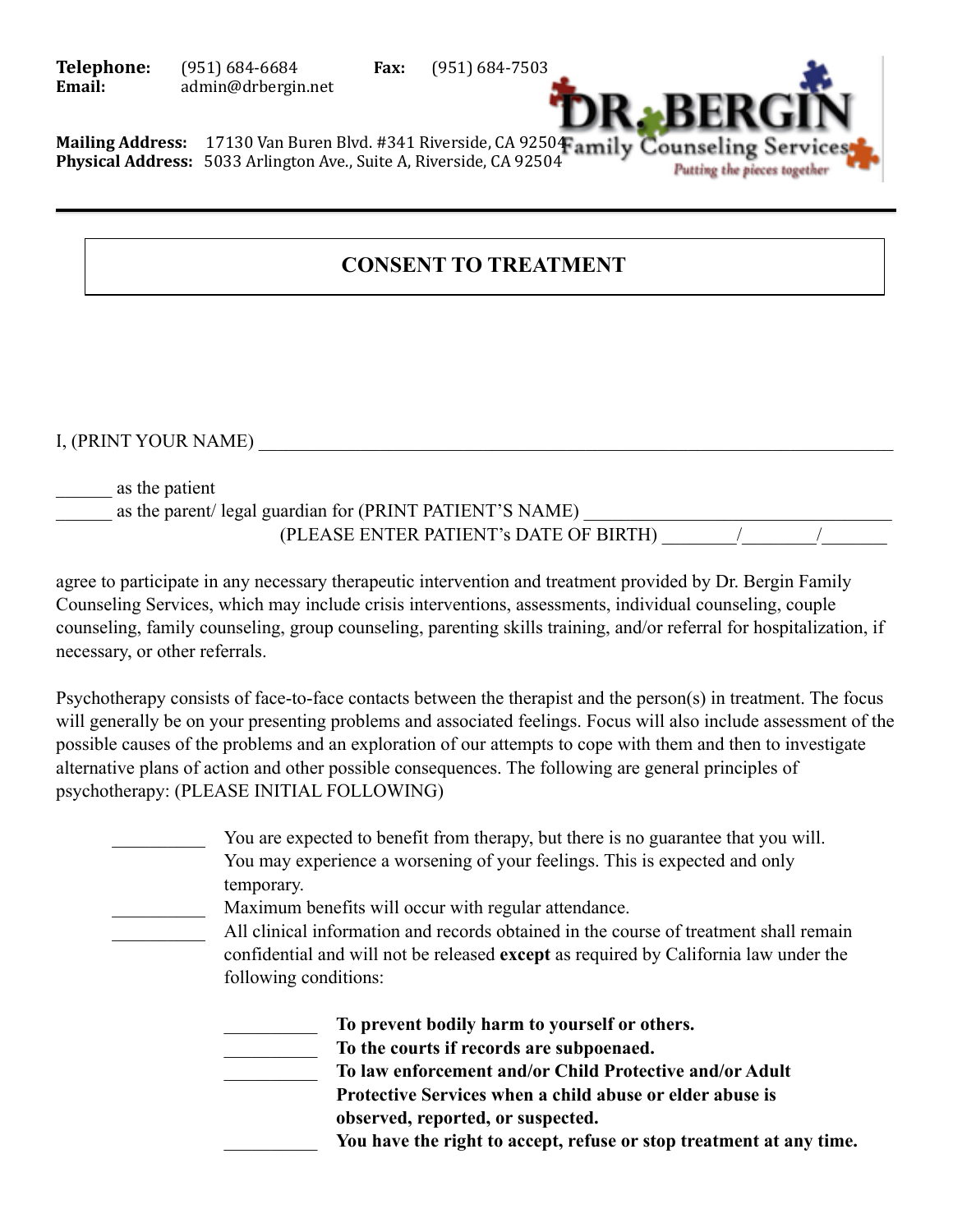**Telephone:** (951) 684-6684 **Fax:** (951) 684-7503 **Email:** admin@drbergin.net



Mailing Address: 17130 Van Buren Blvd. #341 Riverside, CA 92504 amily Counseling Servi **Physical Address:** 5033 Arlington Ave., Suite A, Riverside, CA 92504

## **CONSENT TO TREATMENT**

I, (PRINT YOUR NAME)

\_\_\_\_\_\_ as the patient

as the parent/ legal guardian for (PRINT PATIENT'S NAME) (PLEASE ENTER PATIENT's DATE OF BIRTH)

agree to participate in any necessary therapeutic intervention and treatment provided by Dr. Bergin Family Counseling Services, which may include crisis interventions, assessments, individual counseling, couple counseling, family counseling, group counseling, parenting skills training, and/or referral for hospitalization, if necessary, or other referrals.

Psychotherapy consists of face-to-face contacts between the therapist and the person(s) in treatment. The focus will generally be on your presenting problems and associated feelings. Focus will also include assessment of the possible causes of the problems and an exploration of our attempts to cope with them and then to investigate alternative plans of action and other possible consequences. The following are general principles of psychotherapy: (PLEASE INITIAL FOLLOWING)

> You are expected to benefit from therapy, but there is no guarantee that you will. You may experience a worsening of your feelings. This is expected and only temporary.

Maximum benefits will occur with regular attendance.

All clinical information and records obtained in the course of treatment shall remain confidential and will not be released **except** as required by California law under the following conditions:

\_\_\_\_\_\_\_\_\_\_ **To prevent bodily harm to yourself or others.**

\_\_\_\_\_\_\_\_\_\_ **To the courts if records are subpoenaed.** 

\_\_\_\_\_\_\_\_\_\_ **To law enforcement and/or Child Protective and/or Adult** 

 **Protective Services when a child abuse or elder abuse is** 

 **observed, reported, or suspected.** 

\_\_\_\_\_\_\_\_\_\_ **You have the right to accept, refuse or stop treatment at any time.**